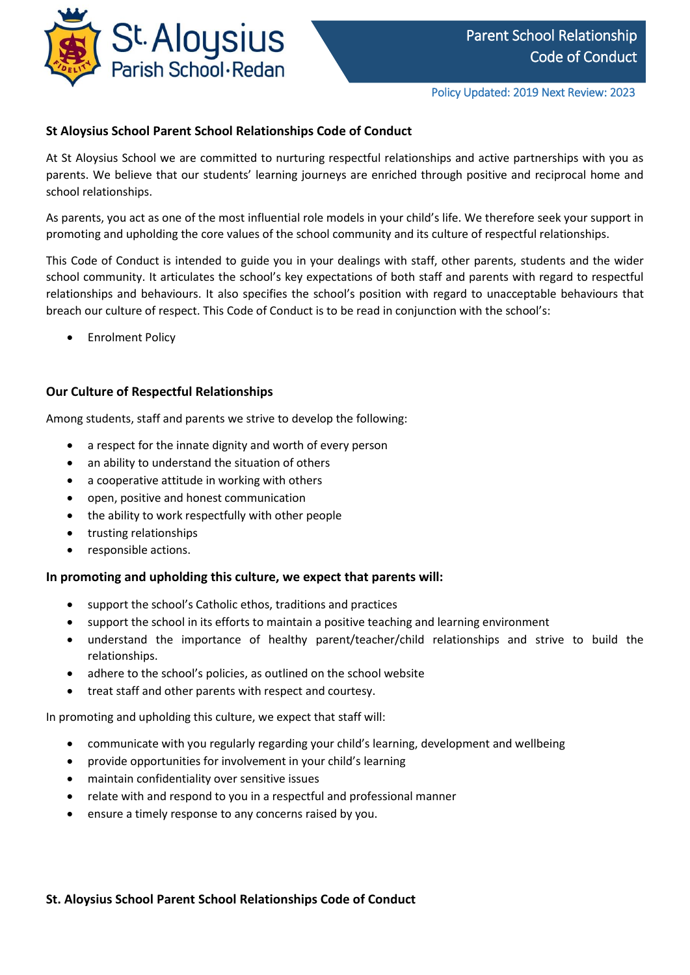

## **St Aloysius School Parent School Relationships Code of Conduct**

At St Aloysius School we are committed to nurturing respectful relationships and active partnerships with you as parents. We believe that our students' learning journeys are enriched through positive and reciprocal home and school relationships.

As parents, you act as one of the most influential role models in your child's life. We therefore seek your support in promoting and upholding the core values of the school community and its culture of respectful relationships.

This Code of Conduct is intended to guide you in your dealings with staff, other parents, students and the wider school community. It articulates the school's key expectations of both staff and parents with regard to respectful relationships and behaviours. It also specifies the school's position with regard to unacceptable behaviours that breach our culture of respect. This Code of Conduct is to be read in conjunction with the school's:

Enrolment Policy

### **Our Culture of Respectful Relationships**

Among students, staff and parents we strive to develop the following:

- a respect for the innate dignity and worth of every person
- an ability to understand the situation of others
- a cooperative attitude in working with others
- open, positive and honest communication
- the ability to work respectfully with other people
- trusting relationships
- responsible actions.

#### **In promoting and upholding this culture, we expect that parents will:**

- support the school's Catholic ethos, traditions and practices
- support the school in its efforts to maintain a positive teaching and learning environment
- understand the importance of healthy parent/teacher/child relationships and strive to build the relationships.
- adhere to the school's policies, as outlined on the school website
- treat staff and other parents with respect and courtesy.

In promoting and upholding this culture, we expect that staff will:

- communicate with you regularly regarding your child's learning, development and wellbeing
- provide opportunities for involvement in your child's learning
- maintain confidentiality over sensitive issues
- relate with and respond to you in a respectful and professional manner
- ensure a timely response to any concerns raised by you.

### **St. Aloysius School Parent School Relationships Code of Conduct**